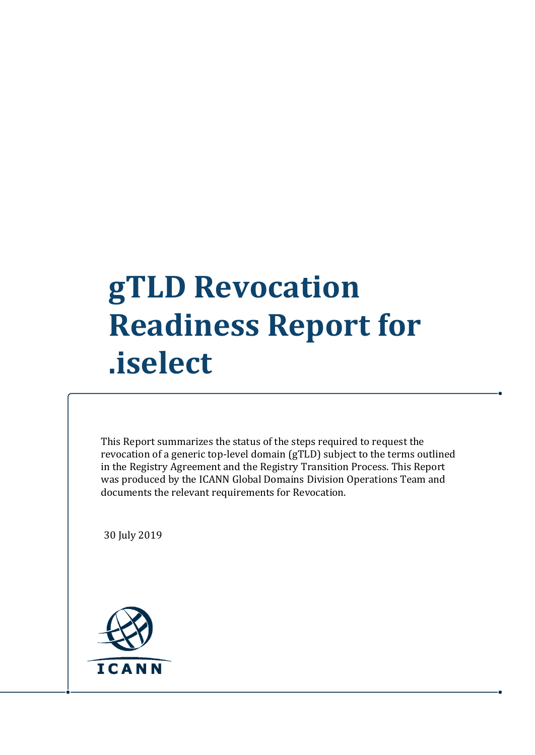## **gTLD Revocation Readiness Report for .iselect**

This Report summarizes the status of the steps required to request the revocation of a generic top-level domain (gTLD) subject to the terms outlined in the Registry Agreement and the Registry Transition Process. This Report was produced by the ICANN Global Domains Division Operations Team and documents the relevant requirements for Revocation.

30 July 2019

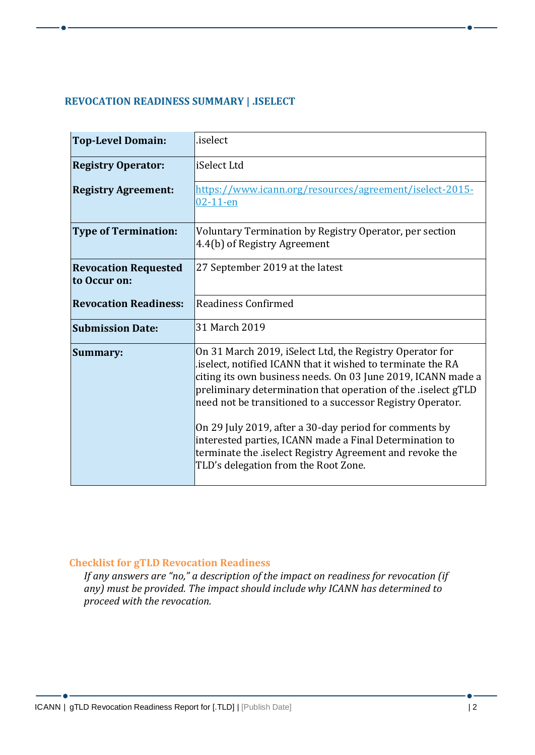## **REVOCATION READINESS SUMMARY | .ISELECT**

| <b>Top-Level Domain:</b>                    | .iselect                                                                                                                                                                                                                                                                                                                                                                                                                                                                                                                                      |
|---------------------------------------------|-----------------------------------------------------------------------------------------------------------------------------------------------------------------------------------------------------------------------------------------------------------------------------------------------------------------------------------------------------------------------------------------------------------------------------------------------------------------------------------------------------------------------------------------------|
| <b>Registry Operator:</b>                   | iSelect Ltd                                                                                                                                                                                                                                                                                                                                                                                                                                                                                                                                   |
| <b>Registry Agreement:</b>                  | https://www.icann.org/resources/agreement/iselect-2015-<br>$02 - 11 - en$                                                                                                                                                                                                                                                                                                                                                                                                                                                                     |
| <b>Type of Termination:</b>                 | Voluntary Termination by Registry Operator, per section<br>4.4(b) of Registry Agreement                                                                                                                                                                                                                                                                                                                                                                                                                                                       |
| <b>Revocation Requested</b><br>to Occur on: | 27 September 2019 at the latest                                                                                                                                                                                                                                                                                                                                                                                                                                                                                                               |
| <b>Revocation Readiness:</b>                | <b>Readiness Confirmed</b>                                                                                                                                                                                                                                                                                                                                                                                                                                                                                                                    |
| <b>Submission Date:</b>                     | 31 March 2019                                                                                                                                                                                                                                                                                                                                                                                                                                                                                                                                 |
| Summary:                                    | On 31 March 2019, iSelect Ltd, the Registry Operator for<br>iselect, notified ICANN that it wished to terminate the RA<br>citing its own business needs. On 03 June 2019, ICANN made a<br>preliminary determination that operation of the .iselect gTLD<br>need not be transitioned to a successor Registry Operator.<br>On 29 July 2019, after a 30-day period for comments by<br>interested parties, ICANN made a Final Determination to<br>terminate the iselect Registry Agreement and revoke the<br>TLD's delegation from the Root Zone. |

## **Checklist for gTLD Revocation Readiness**

*If any answers are "no," a description of the impact on readiness for revocation (if any) must be provided. The impact should include why ICANN has determined to proceed with the revocation.*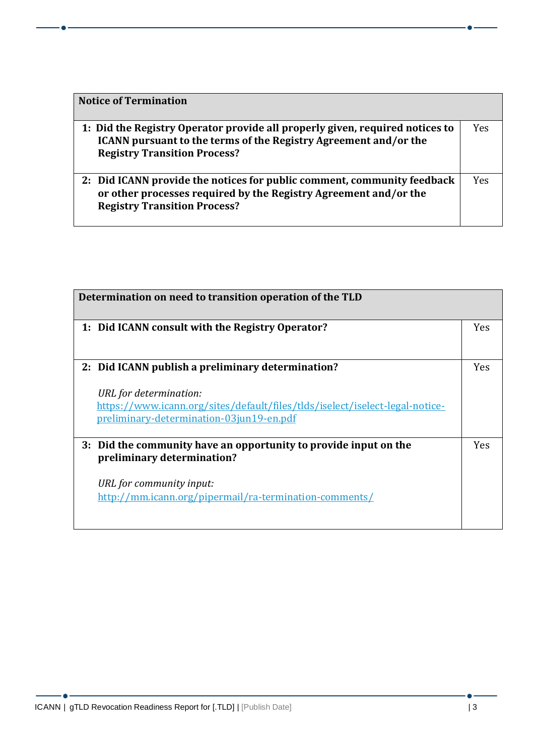| <b>Notice of Termination</b>                                                                                                                                                            |            |
|-----------------------------------------------------------------------------------------------------------------------------------------------------------------------------------------|------------|
| 1: Did the Registry Operator provide all properly given, required notices to<br>ICANN pursuant to the terms of the Registry Agreement and/or the<br><b>Registry Transition Process?</b> | <b>Yes</b> |
| 2: Did ICANN provide the notices for public comment, community feedback<br>or other processes required by the Registry Agreement and/or the<br><b>Registry Transition Process?</b>      | Yes        |

| Determination on need to transition operation of the TLD                                                                                                                                                |            |
|---------------------------------------------------------------------------------------------------------------------------------------------------------------------------------------------------------|------------|
| 1: Did ICANN consult with the Registry Operator?                                                                                                                                                        | <b>Yes</b> |
| 2: Did ICANN publish a preliminary determination?<br>URL for determination:<br>https://www.icann.org/sites/default/files/tlds/iselect/iselect-legal-notice-<br>preliminary-determination-03jun19-en.pdf | <b>Yes</b> |
| 3: Did the community have an opportunity to provide input on the<br>preliminary determination?<br>URL for community input:<br>http://mm.icann.org/pipermail/ra-termination-comments/                    | Yes        |

 $-$  o  $-$ 

<u> 1989 - Johann Barn, mars eta bainar e</u>